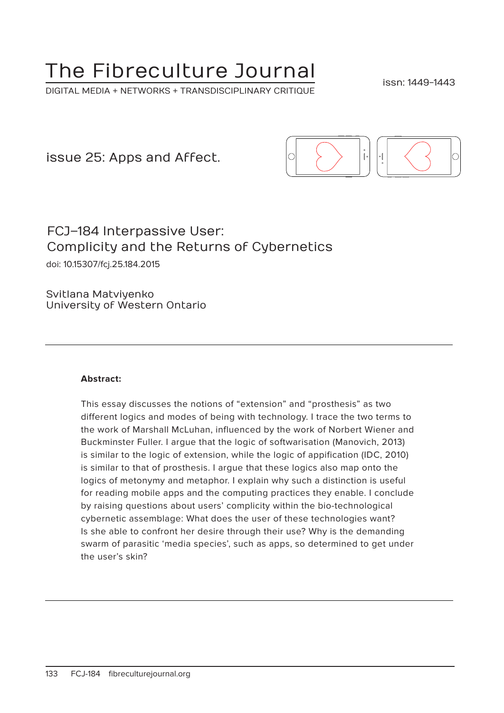# The Fibreculture Journal

DIGITAL MEDIA + NETWORKS + TRANSDISCIPLINARY CRITIQUE

issn: 1449-1443

issue 25: Apps and Affect.



# FCJ–184 Interpassive User: Complicity and the Returns of Cybernetics

doi: 10.15307/fcj.25.184.2015

Svitlana Matviyenko University of Western Ontario

#### **Abstract:**

This essay discusses the notions of "extension" and "prosthesis" as two different logics and modes of being with technology. I trace the two terms to the work of Marshall McLuhan, influenced by the work of Norbert Wiener and Buckminster Fuller. I argue that the logic of softwarisation (Manovich, 2013) is similar to the logic of extension, while the logic of appification (IDC, 2010) is similar to that of prosthesis. I argue that these logics also map onto the logics of metonymy and metaphor. I explain why such a distinction is useful for reading mobile apps and the computing practices they enable. I conclude by raising questions about users' complicity within the bio-technological cybernetic assemblage: What does the user of these technologies want? Is she able to confront her desire through their use? Why is the demanding swarm of parasitic 'media species', such as apps, so determined to get under the user's skin?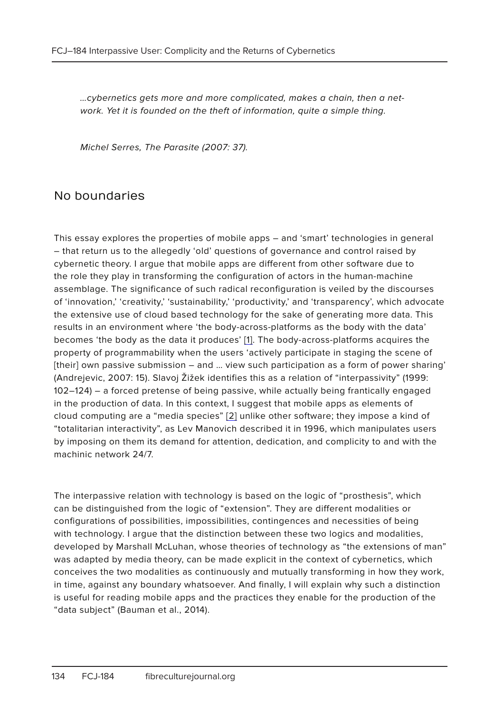…cybernetics gets more and more complicated, makes a chain, then a network. Yet it is founded on the theft of information, quite a simple thing.

Michel Serres, The Parasite (2007: 37).

#### No boundaries

This essay explores the properties of mobile apps – and 'smart' technologies in general – that return us to the allegedly 'old' questions of governance and control raised by cybernetic theory. I argue that mobile apps are different from other software due to the role they play in transforming the configuration of actors in the human-machine assemblage. The significance of such radical reconfiguration is veiled by the discourses of 'innovation,' 'creativity,' 'sustainability,' 'productivity,' and 'transparency', which advocate the extensive use of cloud based technology for the sake of generating more data. This results in an environment where 'the body-across-platforms as the body with the data' becomes 'the body as the data it produces' [1]. The body-across-platforms acquires the property of programmability when the users 'actively participate in staging the scene of [their] own passive submission – and ... view such participation as a form of power sharing' (Andrejevic, 2007: 15). Slavoj Žižek identifies this as a relation of "interpassivity" (1999: 102–124) – a forced pretense of being passive, while actually being frantically engaged in the production of data. In this context, I suggest that mobile apps as elements of cloud computing are a "media species" [2] unlike other software; they impose a kind of "totalitarian interactivity", as Lev Manovich described it in 1996, which manipulates users by imposing on them its demand for attention, dedication, and complicity to and with the machinic network 24/7.

The interpassive relation with technology is based on the logic of "prosthesis", which can be distinguished from the logic of "extension". They are different modalities or configurations of possibilities, impossibilities, contingences and necessities of being with technology. I argue that the distinction between these two logics and modalities, developed by Marshall McLuhan, whose theories of technology as "the extensions of man" was adapted by media theory, can be made explicit in the context of cybernetics, which conceives the two modalities as continuously and mutually transforming in how they work, in time, against any boundary whatsoever. And finally, I will explain why such a distinction is useful for reading mobile apps and the practices they enable for the production of the "data subject" (Bauman et al., 2014).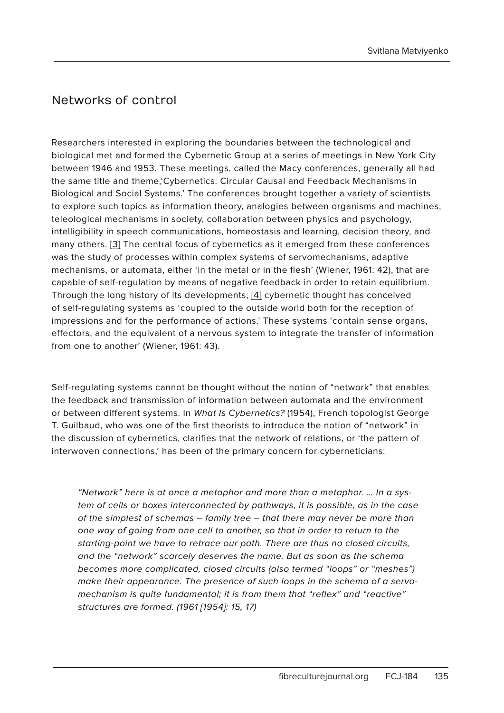## Networks of control

Researchers interested in exploring the boundaries between the technological and biological met and formed the Cybernetic Group at a series of meetings in New York City between 1946 and 1953. These meetings, called the Macy conferences, generally all had the same title and theme,'Cybernetics: Circular Causal and Feedback Mechanisms in Biological and Social Systems.' The conferences brought together a variety of scientists to explore such topics as information theory, analogies between organisms and machines, teleological mechanisms in society, collaboration between physics and psychology, intelligibility in speech communications, homeostasis and learning, decision theory, and many others. [3] The central focus of cybernetics as it emerged from these conferences was the study of processes within complex systems of servomechanisms, adaptive mechanisms, or automata, either 'in the metal or in the flesh' (Wiener, 1961: 42), that are capable of self-regulation by means of negative feedback in order to retain equilibrium. Through the long history of its developments, [4] cybernetic thought has conceived of self-regulating systems as 'coupled to the outside world both for the reception of impressions and for the performance of actions.' These systems 'contain sense organs, effectors, and the equivalent of a nervous system to integrate the transfer of information from one to another' (Wiener, 1961: 43).

Self-regulating systems cannot be thought without the notion of "network" that enables the feedback and transmission of information between automata and the environment or between different systems. In What Is Cybernetics? (1954), French topologist George T. Guilbaud, who was one of the first theorists to introduce the notion of "network" in the discussion of cybernetics, clarifies that the network of relations, or 'the pattern of interwoven connections,' has been of the primary concern for cyberneticians:

"Network" here is at once a metaphor and more than a metaphor. … In a system of cells or boxes interconnected by pathways, it is possible, as in the case of the simplest of schemas – family tree – that there may never be more than one way of going from one cell to another, so that in order to return to the starting-point we have to retrace our path. There are thus no closed circuits, and the "network" scarcely deserves the name. But as soon as the schema becomes more complicated, closed circuits (also termed "loops" or "meshes") make their appearance. The presence of such loops in the schema of a servomechanism is quite fundamental; it is from them that "reflex" and "reactive" structures are formed. (1961 [1954]: 15, 17)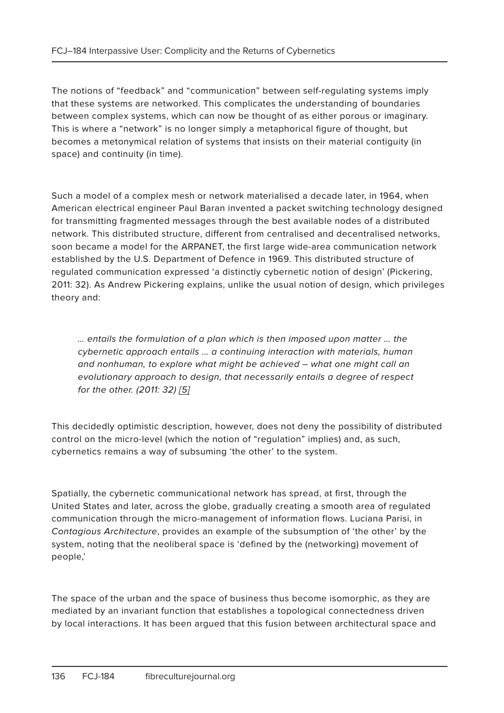The notions of "feedback" and "communication" between self-regulating systems imply that these systems are networked. This complicates the understanding of boundaries between complex systems, which can now be thought of as either porous or imaginary. This is where a "network" is no longer simply a metaphorical figure of thought, but becomes a metonymical relation of systems that insists on their material contiguity (in space) and continuity (in time).

Such a model of a complex mesh or network materialised a decade later, in 1964, when American electrical engineer Paul Baran invented a packet switching technology designed for transmitting fragmented messages through the best available nodes of a distributed network. This distributed structure, different from centralised and decentralised networks, soon became a model for the ARPANET, the first large wide-area communication network established by the U.S. Department of Defence in 1969. This distributed structure of regulated communication expressed 'a distinctly cybernetic notion of design' (Pickering, 2011: 32). As Andrew Pickering explains, unlike the usual notion of design, which privileges theory and:

… entails the formulation of a plan which is then imposed upon matter … the cybernetic approach entails … a continuing interaction with materials, human and nonhuman, to explore what might be achieved – what one might call an evolutionary approach to design, that necessarily entails a degree of respect for the other. (2011: 32) [5]

This decidedly optimistic description, however, does not deny the possibility of distributed control on the micro-level (which the notion of "regulation" implies) and, as such, cybernetics remains a way of subsuming 'the other' to the system.

Spatially, the cybernetic communicational network has spread, at first, through the United States and later, across the globe, gradually creating a smooth area of regulated communication through the micro-management of information flows. Luciana Parisi, in Contagious Architecture, provides an example of the subsumption of 'the other' by the system, noting that the neoliberal space is 'defined by the (networking) movement of people,'

The space of the urban and the space of business thus become isomorphic, as they are mediated by an invariant function that establishes a topological connectedness driven by local interactions. It has been argued that this fusion between architectural space and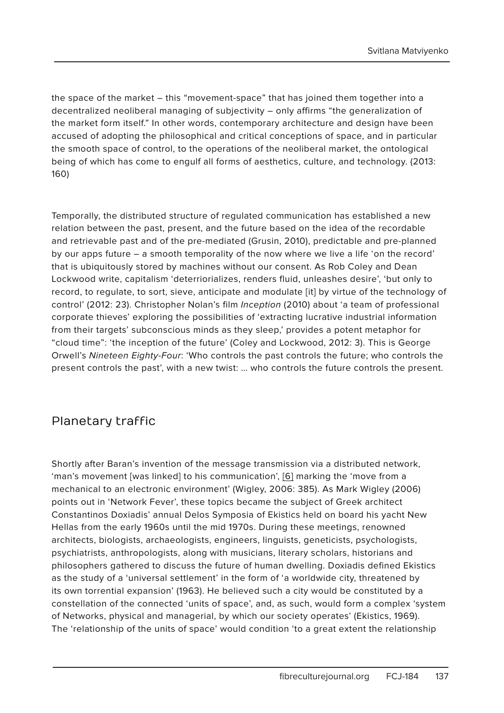the space of the market – this "movement-space" that has joined them together into a decentralized neoliberal managing of subjectivity – only affirms "the generalization of the market form itself." In other words, contemporary architecture and design have been accused of adopting the philosophical and critical conceptions of space, and in particular the smooth space of control, to the operations of the neoliberal market, the ontological being of which has come to engulf all forms of aesthetics, culture, and technology. (2013: 160)

Temporally, the distributed structure of regulated communication has established a new relation between the past, present, and the future based on the idea of the recordable and retrievable past and of the pre-mediated (Grusin, 2010), predictable and pre-planned by our apps future – a smooth temporality of the now where we live a life 'on the record' that is ubiquitously stored by machines without our consent. As Rob Coley and Dean Lockwood write, capitalism 'deterriorializes, renders fluid, unleashes desire', 'but only to record, to regulate, to sort, sieve, anticipate and modulate [it] by virtue of the technology of control' (2012: 23). Christopher Nolan's film Inception (2010) about 'a team of professional corporate thieves' exploring the possibilities of 'extracting lucrative industrial information from their targets' subconscious minds as they sleep,' provides a potent metaphor for "cloud time": 'the inception of the future' (Coley and Lockwood, 2012: 3). This is George Orwell's Nineteen Eighty-Four: 'Who controls the past controls the future; who controls the present controls the past', with a new twist: … who controls the future controls the present.

#### Planetary traffic

Shortly after Baran's invention of the message transmission via a distributed network, 'man's movement [was linked] to his communication', [6] marking the 'move from a mechanical to an electronic environment' (Wigley, 2006: 385). As Mark Wigley (2006) points out in 'Network Fever', these topics became the subject of Greek architect Constantinos Doxiadis' annual Delos Symposia of Ekistics held on board his yacht New Hellas from the early 1960s until the mid 1970s. During these meetings, renowned architects, biologists, archaeologists, engineers, linguists, geneticists, psychologists, psychiatrists, anthropologists, along with musicians, literary scholars, historians and philosophers gathered to discuss the future of human dwelling. Doxiadis defined Ekistics as the study of a 'universal settlement' in the form of 'a worldwide city, threatened by its own torrential expansion' (1963). He believed such a city would be constituted by a constellation of the connected 'units of space', and, as such, would form a complex 'system of Networks, physical and managerial, by which our society operates' (Ekistics, 1969). The 'relationship of the units of space' would condition 'to a great extent the relationship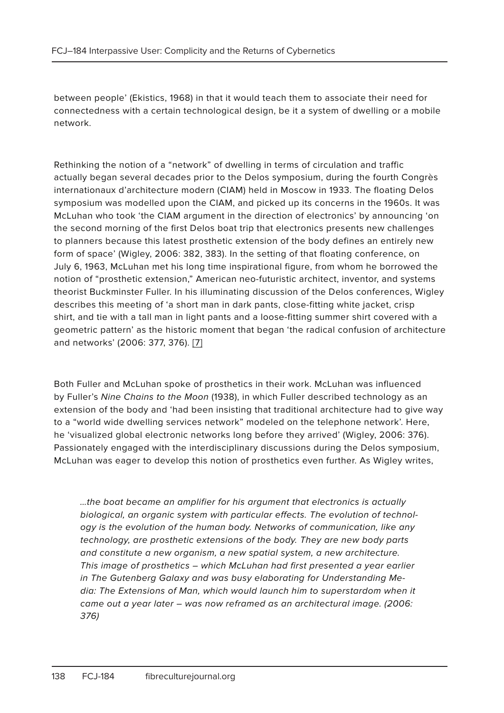between people' (Ekistics, 1968) in that it would teach them to associate their need for connectedness with a certain technological design, be it a system of dwelling or a mobile network.

Rethinking the notion of a "network" of dwelling in terms of circulation and traffic actually began several decades prior to the Delos symposium, during the fourth Congrès internationaux d'architecture modern (CIAM) held in Moscow in 1933. The floating Delos symposium was modelled upon the CIAM, and picked up its concerns in the 1960s. It was McLuhan who took 'the CIAM argument in the direction of electronics' by announcing 'on the second morning of the first Delos boat trip that electronics presents new challenges to planners because this latest prosthetic extension of the body defines an entirely new form of space' (Wigley, 2006: 382, 383). In the setting of that floating conference, on July 6, 1963, McLuhan met his long time inspirational figure, from whom he borrowed the notion of "prosthetic extension," American neo-futuristic architect, inventor, and systems theorist Buckminster Fuller. In his illuminating discussion of the Delos conferences, Wigley describes this meeting of 'a short man in dark pants, close-fitting white jacket, crisp shirt, and tie with a tall man in light pants and a loose-fitting summer shirt covered with a geometric pattern' as the historic moment that began 'the radical confusion of architecture and networks' (2006: 377, 376). [7]

Both Fuller and McLuhan spoke of prosthetics in their work. McLuhan was influenced by Fuller's Nine Chains to the Moon (1938), in which Fuller described technology as an extension of the body and 'had been insisting that traditional architecture had to give way to a "world wide dwelling services network" modeled on the telephone network'. Here, he 'visualized global electronic networks long before they arrived' (Wigley, 2006: 376). Passionately engaged with the interdisciplinary discussions during the Delos symposium, McLuhan was eager to develop this notion of prosthetics even further. As Wigley writes,

…the boat became an amplifier for his argument that electronics is actually biological, an organic system with particular effects. The evolution of technology is the evolution of the human body. Networks of communication, like any technology, are prosthetic extensions of the body. They are new body parts and constitute a new organism, a new spatial system, a new architecture. This image of prosthetics – which McLuhan had first presented a year earlier in The Gutenberg Galaxy and was busy elaborating for Understanding Media: The Extensions of Man, which would launch him to superstardom when it came out a year later – was now reframed as an architectural image. (2006: 376)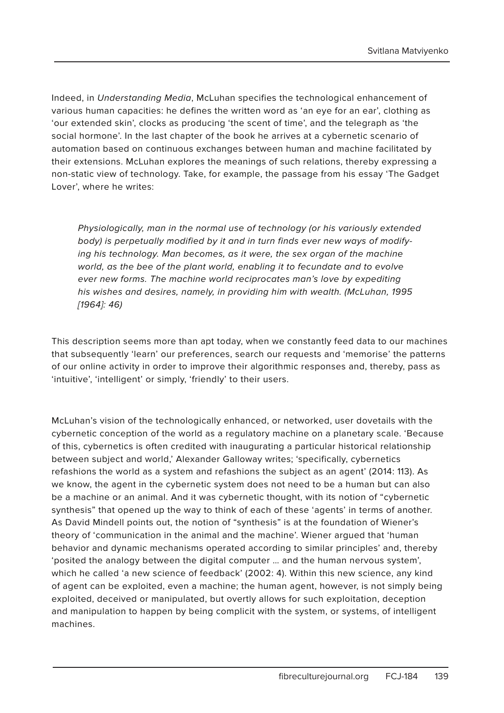Indeed, in Understanding Media, McLuhan specifies the technological enhancement of various human capacities: he defines the written word as 'an eye for an ear', clothing as 'our extended skin', clocks as producing 'the scent of time', and the telegraph as 'the social hormone'. In the last chapter of the book he arrives at a cybernetic scenario of automation based on continuous exchanges between human and machine facilitated by their extensions. McLuhan explores the meanings of such relations, thereby expressing a non-static view of technology. Take, for example, the passage from his essay 'The Gadget Lover', where he writes:

Physiologically, man in the normal use of technology (or his variously extended body) is perpetually modified by it and in turn finds ever new ways of modifying his technology. Man becomes, as it were, the sex organ of the machine world, as the bee of the plant world, enabling it to fecundate and to evolve ever new forms. The machine world reciprocates man's love by expediting his wishes and desires, namely, in providing him with wealth. (McLuhan, 1995 [1964]: 46)

This description seems more than apt today, when we constantly feed data to our machines that subsequently 'learn' our preferences, search our requests and 'memorise' the patterns of our online activity in order to improve their algorithmic responses and, thereby, pass as 'intuitive', 'intelligent' or simply, 'friendly' to their users.

McLuhan's vision of the technologically enhanced, or networked, user dovetails with the cybernetic conception of the world as a regulatory machine on a planetary scale. 'Because of this, cybernetics is often credited with inaugurating a particular historical relationship between subject and world,' Alexander Galloway writes; 'specifically, cybernetics refashions the world as a system and refashions the subject as an agent' (2014: 113). As we know, the agent in the cybernetic system does not need to be a human but can also be a machine or an animal. And it was cybernetic thought, with its notion of "cybernetic synthesis" that opened up the way to think of each of these 'agents' in terms of another. As David Mindell points out, the notion of "synthesis" is at the foundation of Wiener's theory of 'communication in the animal and the machine'. Wiener argued that 'human behavior and dynamic mechanisms operated according to similar principles' and, thereby 'posited the analogy between the digital computer … and the human nervous system', which he called 'a new science of feedback' (2002: 4). Within this new science, any kind of agent can be exploited, even a machine; the human agent, however, is not simply being exploited, deceived or manipulated, but overtly allows for such exploitation, deception and manipulation to happen by being complicit with the system, or systems, of intelligent machines.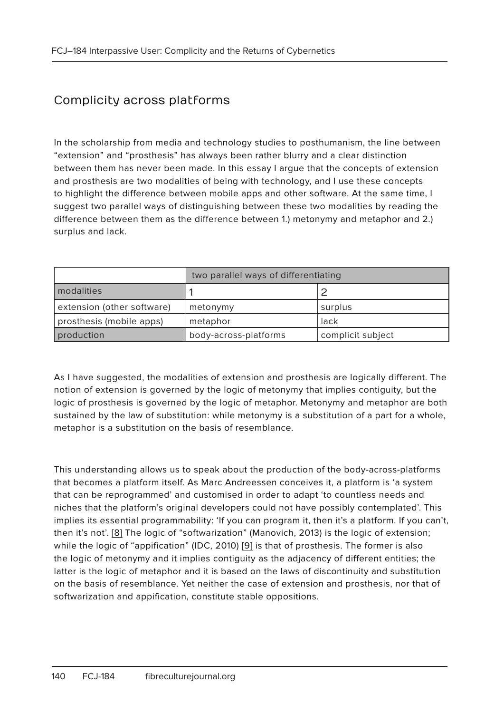# Complicity across platforms

In the scholarship from media and technology studies to posthumanism, the line between "extension" and "prosthesis" has always been rather blurry and a clear distinction between them has never been made. In this essay I argue that the concepts of extension and prosthesis are two modalities of being with technology, and I use these concepts to highlight the difference between mobile apps and other software. At the same time, I suggest two parallel ways of distinguishing between these two modalities by reading the difference between them as the difference between 1.) metonymy and metaphor and 2.) surplus and lack.

|                            | two parallel ways of differentiating |                   |
|----------------------------|--------------------------------------|-------------------|
| modalities                 |                                      |                   |
| extension (other software) | metonymy                             | surplus           |
| prosthesis (mobile apps)   | metaphor                             | lack              |
| production                 | body-across-platforms                | complicit subject |

As I have suggested, the modalities of extension and prosthesis are logically different. The notion of extension is governed by the logic of metonymy that implies contiguity, but the logic of prosthesis is governed by the logic of metaphor. Metonymy and metaphor are both sustained by the law of substitution: while metonymy is a substitution of a part for a whole, metaphor is a substitution on the basis of resemblance.

This understanding allows us to speak about the production of the body-across-platforms that becomes a platform itself. As Marc Andreessen conceives it, a platform is 'a system that can be reprogrammed' and customised in order to adapt 'to countless needs and niches that the platform's original developers could not have possibly contemplated'. This implies its essential programmability: 'If you can program it, then it's a platform. If you can't, then it's not'. [8] The logic of "softwarization" (Manovich, 2013) is the logic of extension; while the logic of "appification" (IDC, 2010) [9] is that of prosthesis. The former is also the logic of metonymy and it implies contiguity as the adjacency of different entities; the latter is the logic of metaphor and it is based on the laws of discontinuity and substitution on the basis of resemblance. Yet neither the case of extension and prosthesis, nor that of softwarization and appification, constitute stable oppositions.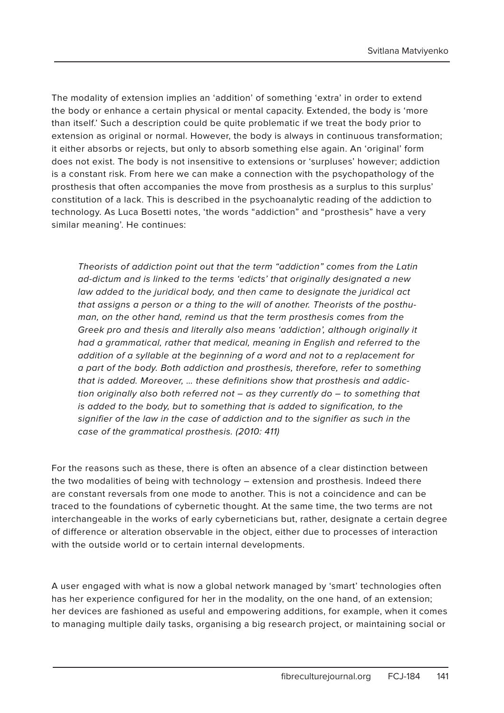The modality of extension implies an 'addition' of something 'extra' in order to extend the body or enhance a certain physical or mental capacity. Extended, the body is 'more than itself.' Such a description could be quite problematic if we treat the body prior to extension as original or normal. However, the body is always in continuous transformation; it either absorbs or rejects, but only to absorb something else again. An 'original' form does not exist. The body is not insensitive to extensions or 'surpluses' however; addiction is a constant risk. From here we can make a connection with the psychopathology of the prosthesis that often accompanies the move from prosthesis as a surplus to this surplus' constitution of a lack. This is described in the psychoanalytic reading of the addiction to technology. As Luca Bosetti notes, 'the words "addiction" and "prosthesis" have a very similar meaning'. He continues:

Theorists of addiction point out that the term "addiction" comes from the Latin ad-dictum and is linked to the terms 'edicts' that originally designated a new law added to the juridical body, and then came to designate the juridical act that assigns a person or a thing to the will of another. Theorists of the posthuman, on the other hand, remind us that the term prosthesis comes from the Greek pro and thesis and literally also means 'addiction', although originally it had a grammatical, rather that medical, meaning in English and referred to the addition of a syllable at the beginning of a word and not to a replacement for a part of the body. Both addiction and prosthesis, therefore, refer to something that is added. Moreover, … these definitions show that prosthesis and addiction originally also both referred not – as they currently do – to something that is added to the body, but to something that is added to signification, to the signifier of the law in the case of addiction and to the signifier as such in the case of the grammatical prosthesis. (2010: 411)

For the reasons such as these, there is often an absence of a clear distinction between the two modalities of being with technology – extension and prosthesis. Indeed there are constant reversals from one mode to another. This is not a coincidence and can be traced to the foundations of cybernetic thought. At the same time, the two terms are not interchangeable in the works of early cyberneticians but, rather, designate a certain degree of difference or alteration observable in the object, either due to processes of interaction with the outside world or to certain internal developments.

A user engaged with what is now a global network managed by 'smart' technologies often has her experience configured for her in the modality, on the one hand, of an extension; her devices are fashioned as useful and empowering additions, for example, when it comes to managing multiple daily tasks, organising a big research project, or maintaining social or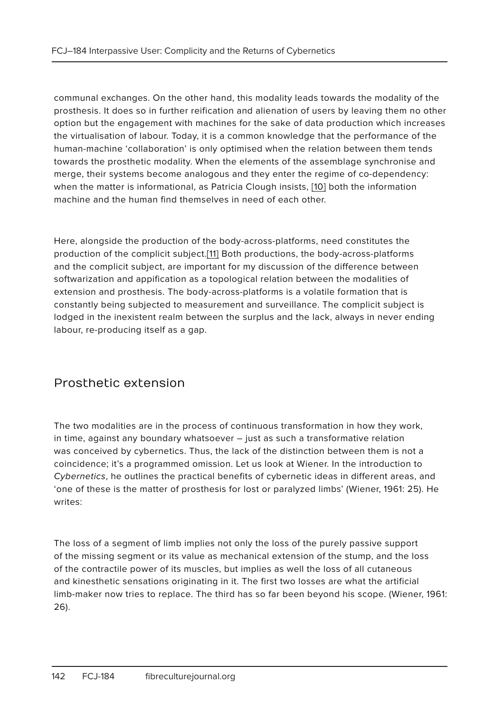communal exchanges. On the other hand, this modality leads towards the modality of the prosthesis. It does so in further reification and alienation of users by leaving them no other option but the engagement with machines for the sake of data production which increases the virtualisation of labour. Today, it is a common knowledge that the performance of the human-machine 'collaboration' is only optimised when the relation between them tends towards the prosthetic modality. When the elements of the assemblage synchronise and merge, their systems become analogous and they enter the regime of co-dependency: when the matter is informational, as Patricia Clough insists, [10] both the information machine and the human find themselves in need of each other.

Here, alongside the production of the body-across-platforms, need constitutes the production of the complicit subject.[11] Both productions, the body-across-platforms and the complicit subject, are important for my discussion of the difference between softwarization and appification as a topological relation between the modalities of extension and prosthesis. The body-across-platforms is a volatile formation that is constantly being subjected to measurement and surveillance. The complicit subject is lodged in the inexistent realm between the surplus and the lack, always in never ending labour, re-producing itself as a gap.

#### Prosthetic extension

The two modalities are in the process of continuous transformation in how they work, in time, against any boundary whatsoever – just as such a transformative relation was conceived by cybernetics. Thus, the lack of the distinction between them is not a coincidence; it's a programmed omission. Let us look at Wiener. In the introduction to Cybernetics, he outlines the practical benefits of cybernetic ideas in different areas, and 'one of these is the matter of prosthesis for lost or paralyzed limbs' (Wiener, 1961: 25). He writes:

The loss of a segment of limb implies not only the loss of the purely passive support of the missing segment or its value as mechanical extension of the stump, and the loss of the contractile power of its muscles, but implies as well the loss of all cutaneous and kinesthetic sensations originating in it. The first two losses are what the artificial limb-maker now tries to replace. The third has so far been beyond his scope. (Wiener, 1961: 26).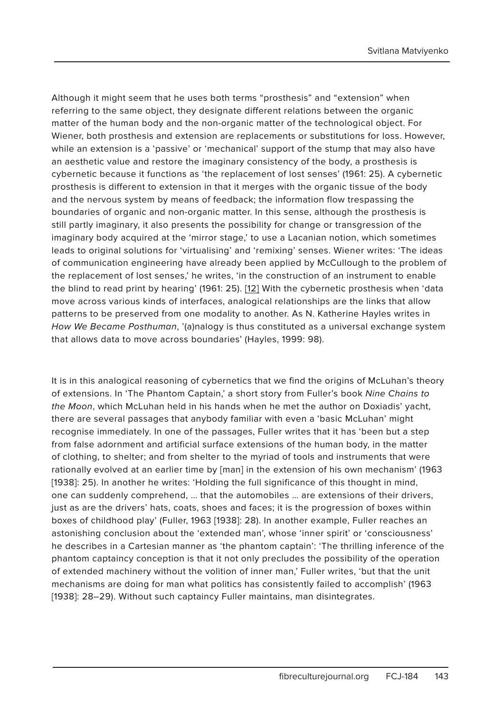Although it might seem that he uses both terms "prosthesis" and "extension" when referring to the same object, they designate different relations between the organic matter of the human body and the non-organic matter of the technological object. For Wiener, both prosthesis and extension are replacements or substitutions for loss. However, while an extension is a 'passive' or 'mechanical' support of the stump that may also have an aesthetic value and restore the imaginary consistency of the body, a prosthesis is cybernetic because it functions as 'the replacement of lost senses' (1961: 25). A cybernetic prosthesis is different to extension in that it merges with the organic tissue of the body and the nervous system by means of feedback; the information flow trespassing the boundaries of organic and non-organic matter. In this sense, although the prosthesis is still partly imaginary, it also presents the possibility for change or transgression of the imaginary body acquired at the 'mirror stage,' to use a Lacanian notion, which sometimes leads to original solutions for 'virtualising' and 'remixing' senses. Wiener writes: 'The ideas of communication engineering have already been applied by McCullough to the problem of the replacement of lost senses,' he writes, 'in the construction of an instrument to enable the blind to read print by hearing' (1961: 25). [12] With the cybernetic prosthesis when 'data move across various kinds of interfaces, analogical relationships are the links that allow patterns to be preserved from one modality to another. As N. Katherine Hayles writes in How We Became Posthuman, '(a)nalogy is thus constituted as a universal exchange system that allows data to move across boundaries' (Hayles, 1999: 98).

It is in this analogical reasoning of cybernetics that we find the origins of McLuhan's theory of extensions. In 'The Phantom Captain,' a short story from Fuller's book Nine Chains to the Moon, which McLuhan held in his hands when he met the author on Doxiadis' yacht, there are several passages that anybody familiar with even a 'basic McLuhan' might recognise immediately. In one of the passages, Fuller writes that it has 'been but a step from false adornment and artificial surface extensions of the human body, in the matter of clothing, to shelter; and from shelter to the myriad of tools and instruments that were rationally evolved at an earlier time by [man] in the extension of his own mechanism' (1963 [1938]: 25). In another he writes: 'Holding the full significance of this thought in mind, one can suddenly comprehend, … that the automobiles … are extensions of their drivers, just as are the drivers' hats, coats, shoes and faces; it is the progression of boxes within boxes of childhood play' (Fuller, 1963 [1938]: 28). In another example, Fuller reaches an astonishing conclusion about the 'extended man', whose 'inner spirit' or 'consciousness' he describes in a Cartesian manner as 'the phantom captain': 'The thrilling inference of the phantom captaincy conception is that it not only precludes the possibility of the operation of extended machinery without the volition of inner man,' Fuller writes, 'but that the unit mechanisms are doing for man what politics has consistently failed to accomplish' (1963 [1938]: 28–29). Without such captaincy Fuller maintains, man disintegrates.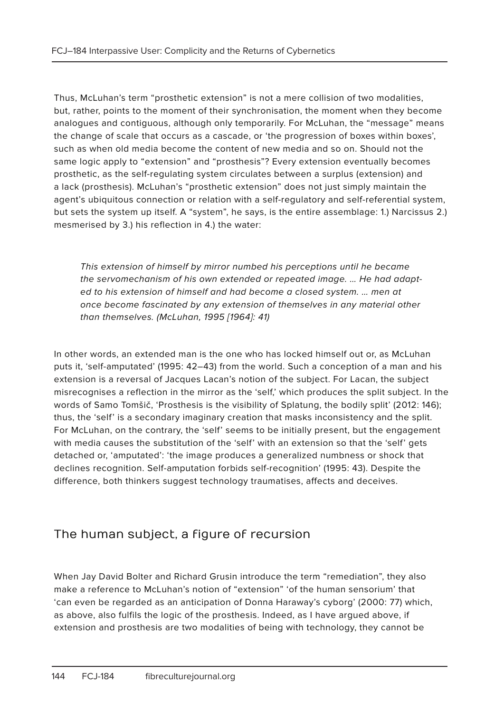Thus, McLuhan's term "prosthetic extension" is not a mere collision of two modalities, but, rather, points to the moment of their synchronisation, the moment when they become analogues and contiguous, although only temporarily. For McLuhan, the "message" means the change of scale that occurs as a cascade, or 'the progression of boxes within boxes', such as when old media become the content of new media and so on. Should not the same logic apply to "extension" and "prosthesis"? Every extension eventually becomes prosthetic, as the self-regulating system circulates between a surplus (extension) and a lack (prosthesis). McLuhan's "prosthetic extension" does not just simply maintain the agent's ubiquitous connection or relation with a self-regulatory and self-referential system, but sets the system up itself. A "system", he says, is the entire assemblage: 1.) Narcissus 2.) mesmerised by 3.) his reflection in 4.) the water:

This extension of himself by mirror numbed his perceptions until he became the servomechanism of his own extended or repeated image. … He had adapted to his extension of himself and had become a closed system. … men at once become fascinated by any extension of themselves in any material other than themselves. (McLuhan, 1995 [1964]: 41)

In other words, an extended man is the one who has locked himself out or, as McLuhan puts it, 'self-amputated' (1995: 42–43) from the world. Such a conception of a man and his extension is a reversal of Jacques Lacan's notion of the subject. For Lacan, the subject misrecognises a reflection in the mirror as the 'self,' which produces the split subject. In the words of Samo Tomšič, 'Prosthesis is the visibility of Splatung, the bodily split' (2012: 146); thus, the 'self' is a secondary imaginary creation that masks inconsistency and the split. For McLuhan, on the contrary, the 'self' seems to be initially present, but the engagement with media causes the substitution of the 'self' with an extension so that the 'self' gets detached or, 'amputated': 'the image produces a generalized numbness or shock that declines recognition. Self-amputation forbids self-recognition' (1995: 43). Despite the difference, both thinkers suggest technology traumatises, affects and deceives.

## The human subject, a figure of recursion

When Jay David Bolter and Richard Grusin introduce the term "remediation", they also make a reference to McLuhan's notion of "extension" 'of the human sensorium' that 'can even be regarded as an anticipation of Donna Haraway's cyborg' (2000: 77) which, as above, also fulfils the logic of the prosthesis. Indeed, as I have argued above, if extension and prosthesis are two modalities of being with technology, they cannot be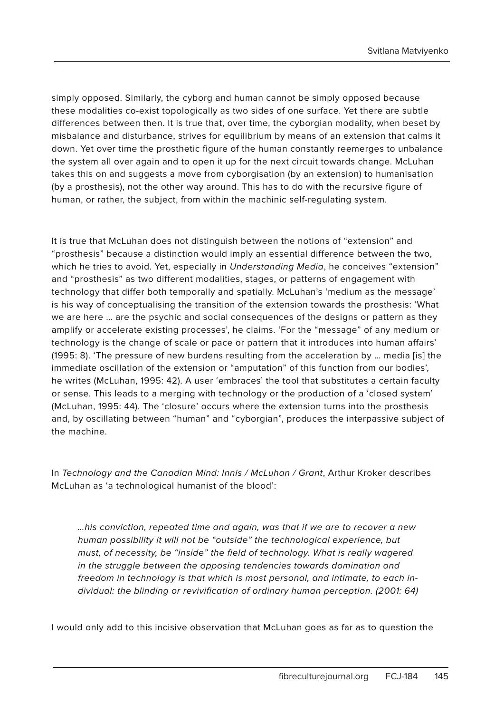simply opposed. Similarly, the cyborg and human cannot be simply opposed because these modalities co-exist topologically as two sides of one surface. Yet there are subtle differences between then. It is true that, over time, the cyborgian modality, when beset by misbalance and disturbance, strives for equilibrium by means of an extension that calms it down. Yet over time the prosthetic figure of the human constantly reemerges to unbalance the system all over again and to open it up for the next circuit towards change. McLuhan takes this on and suggests a move from cyborgisation (by an extension) to humanisation (by a prosthesis), not the other way around. This has to do with the recursive figure of human, or rather, the subject, from within the machinic self-regulating system.

It is true that McLuhan does not distinguish between the notions of "extension" and "prosthesis" because a distinction would imply an essential difference between the two, which he tries to avoid. Yet, especially in Understanding Media, he conceives "extension" and "prosthesis" as two different modalities, stages, or patterns of engagement with technology that differ both temporally and spatially. McLuhan's 'medium as the message' is his way of conceptualising the transition of the extension towards the prosthesis: 'What we are here … are the psychic and social consequences of the designs or pattern as they amplify or accelerate existing processes', he claims. 'For the "message" of any medium or technology is the change of scale or pace or pattern that it introduces into human affairs' (1995: 8). 'The pressure of new burdens resulting from the acceleration by … media [is] the immediate oscillation of the extension or "amputation" of this function from our bodies', he writes (McLuhan, 1995: 42). A user 'embraces' the tool that substitutes a certain faculty or sense. This leads to a merging with technology or the production of a 'closed system' (McLuhan, 1995: 44). The 'closure' occurs where the extension turns into the prosthesis and, by oscillating between "human" and "cyborgian", produces the interpassive subject of the machine.

In Technology and the Canadian Mind: Innis / McLuhan / Grant, Arthur Kroker describes McLuhan as 'a technological humanist of the blood':

…his conviction, repeated time and again, was that if we are to recover a new human possibility it will not be "outside" the technological experience, but must, of necessity, be "inside" the field of technology. What is really wagered in the struggle between the opposing tendencies towards domination and freedom in technology is that which is most personal, and intimate, to each individual: the blinding or revivification of ordinary human perception. (2001: 64)

I would only add to this incisive observation that McLuhan goes as far as to question the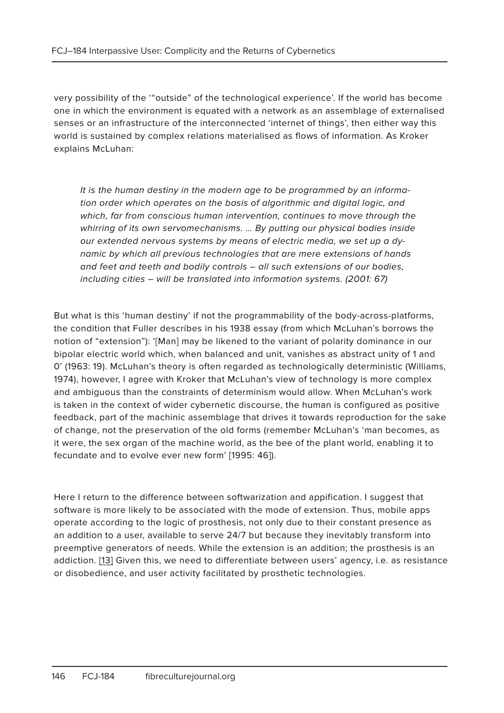very possibility of the '"outside" of the technological experience'. If the world has become one in which the environment is equated with a network as an assemblage of externalised senses or an infrastructure of the interconnected 'internet of things', then either way this world is sustained by complex relations materialised as flows of information. As Kroker explains McLuhan:

It is the human destiny in the modern age to be programmed by an information order which operates on the basis of algorithmic and digital logic, and which, far from conscious human intervention, continues to move through the whirring of its own servomechanisms. … By putting our physical bodies inside our extended nervous systems by means of electric media, we set up a dynamic by which all previous technologies that are mere extensions of hands and feet and teeth and bodily controls – all such extensions of our bodies, including cities – will be translated into information systems. (2001: 67)

But what is this 'human destiny' if not the programmability of the body-across-platforms, the condition that Fuller describes in his 1938 essay (from which McLuhan's borrows the notion of "extension"): '[Man] may be likened to the variant of polarity dominance in our bipolar electric world which, when balanced and unit, vanishes as abstract unity of 1 and 0' (1963: 19). McLuhan's theory is often regarded as technologically deterministic (Williams, 1974), however, I agree with Kroker that McLuhan's view of technology is more complex and ambiguous than the constraints of determinism would allow. When McLuhan's work is taken in the context of wider cybernetic discourse, the human is configured as positive feedback, part of the machinic assemblage that drives it towards reproduction for the sake of change, not the preservation of the old forms (remember McLuhan's 'man becomes, as it were, the sex organ of the machine world, as the bee of the plant world, enabling it to fecundate and to evolve ever new form' [1995: 46]).

Here I return to the difference between softwarization and appification. I suggest that software is more likely to be associated with the mode of extension. Thus, mobile apps operate according to the logic of prosthesis, not only due to their constant presence as an addition to a user, available to serve 24/7 but because they inevitably transform into preemptive generators of needs. While the extension is an addition; the prosthesis is an addiction. [13] Given this, we need to differentiate between users' agency, i.e. as resistance or disobedience, and user activity facilitated by prosthetic technologies.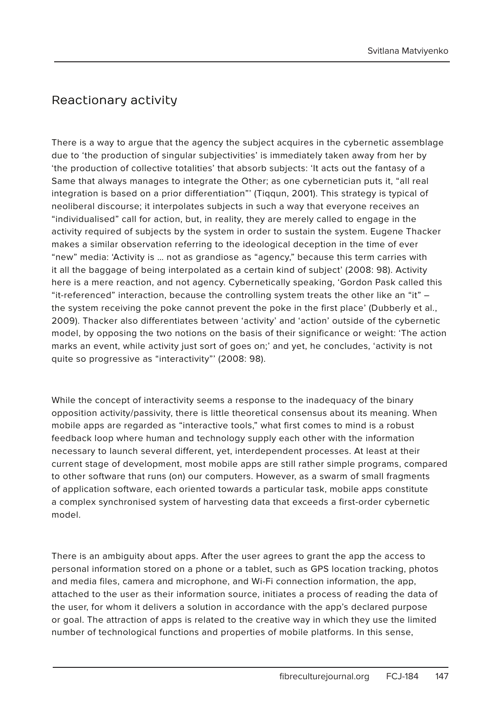## Reactionary activity

There is a way to argue that the agency the subject acquires in the cybernetic assemblage due to 'the production of singular subjectivities' is immediately taken away from her by 'the production of collective totalities' that absorb subjects: 'It acts out the fantasy of a Same that always manages to integrate the Other; as one cybernetician puts it, "all real integration is based on a prior differentiation"' (Tiqqun, 2001). This strategy is typical of neoliberal discourse; it interpolates subjects in such a way that everyone receives an "individualised" call for action, but, in reality, they are merely called to engage in the activity required of subjects by the system in order to sustain the system. Eugene Thacker makes a similar observation referring to the ideological deception in the time of ever "new" media: 'Activity is … not as grandiose as "agency," because this term carries with it all the baggage of being interpolated as a certain kind of subject' (2008: 98). Activity here is a mere reaction, and not agency. Cybernetically speaking, 'Gordon Pask called this "it-referenced" interaction, because the controlling system treats the other like an "it" – the system receiving the poke cannot prevent the poke in the first place' (Dubberly et al., 2009). Thacker also differentiates between 'activity' and 'action' outside of the cybernetic model, by opposing the two notions on the basis of their significance or weight: 'The action marks an event, while activity just sort of goes on;' and yet, he concludes, 'activity is not quite so progressive as "interactivity"' (2008: 98).

While the concept of interactivity seems a response to the inadequacy of the binary opposition activity/passivity, there is little theoretical consensus about its meaning. When mobile apps are regarded as "interactive tools," what first comes to mind is a robust feedback loop where human and technology supply each other with the information necessary to launch several different, yet, interdependent processes. At least at their current stage of development, most mobile apps are still rather simple programs, compared to other software that runs (on) our computers. However, as a swarm of small fragments of application software, each oriented towards a particular task, mobile apps constitute a complex synchronised system of harvesting data that exceeds a first-order cybernetic model.

There is an ambiguity about apps. After the user agrees to grant the app the access to personal information stored on a phone or a tablet, such as GPS location tracking, photos and media files, camera and microphone, and Wi-Fi connection information, the app, attached to the user as their information source, initiates a process of reading the data of the user, for whom it delivers a solution in accordance with the app's declared purpose or goal. The attraction of apps is related to the creative way in which they use the limited number of technological functions and properties of mobile platforms. In this sense,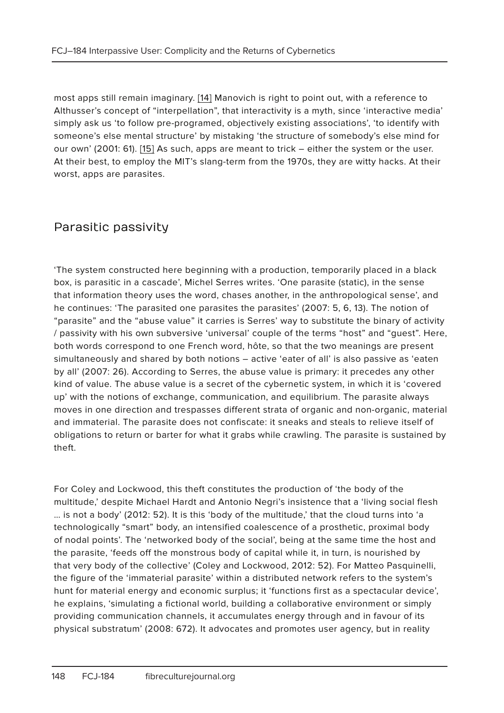most apps still remain imaginary. [14] Manovich is right to point out, with a reference to Althusser's concept of "interpellation", that interactivity is a myth, since 'interactive media' simply ask us 'to follow pre-programed, objectively existing associations', 'to identify with someone's else mental structure' by mistaking 'the structure of somebody's else mind for our own' (2001: 61). [15] As such, apps are meant to trick – either the system or the user. At their best, to employ the MIT's slang-term from the 1970s, they are witty hacks. At their worst, apps are parasites.

#### Parasitic passivity

'The system constructed here beginning with a production, temporarily placed in a black box, is parasitic in a cascade', Michel Serres writes. 'One parasite (static), in the sense that information theory uses the word, chases another, in the anthropological sense', and he continues: 'The parasited one parasites the parasites' (2007: 5, 6, 13). The notion of "parasite" and the "abuse value" it carries is Serres' way to substitute the binary of activity / passivity with his own subversive 'universal' couple of the terms "host" and "guest". Here, both words correspond to one French word, hôte, so that the two meanings are present simultaneously and shared by both notions – active 'eater of all' is also passive as 'eaten by all' (2007: 26). According to Serres, the abuse value is primary: it precedes any other kind of value. The abuse value is a secret of the cybernetic system, in which it is 'covered up' with the notions of exchange, communication, and equilibrium. The parasite always moves in one direction and trespasses different strata of organic and non-organic, material and immaterial. The parasite does not confiscate: it sneaks and steals to relieve itself of obligations to return or barter for what it grabs while crawling. The parasite is sustained by theft.

For Coley and Lockwood, this theft constitutes the production of 'the body of the multitude,' despite Michael Hardt and Antonio Negri's insistence that a 'living social flesh … is not a body' (2012: 52). It is this 'body of the multitude,' that the cloud turns into 'a technologically "smart" body, an intensified coalescence of a prosthetic, proximal body of nodal points'. The 'networked body of the social', being at the same time the host and the parasite, 'feeds off the monstrous body of capital while it, in turn, is nourished by that very body of the collective' (Coley and Lockwood, 2012: 52). For Matteo Pasquinelli, the figure of the 'immaterial parasite' within a distributed network refers to the system's hunt for material energy and economic surplus; it 'functions first as a spectacular device', he explains, 'simulating a fictional world, building a collaborative environment or simply providing communication channels, it accumulates energy through and in favour of its physical substratum' (2008: 672). It advocates and promotes user agency, but in reality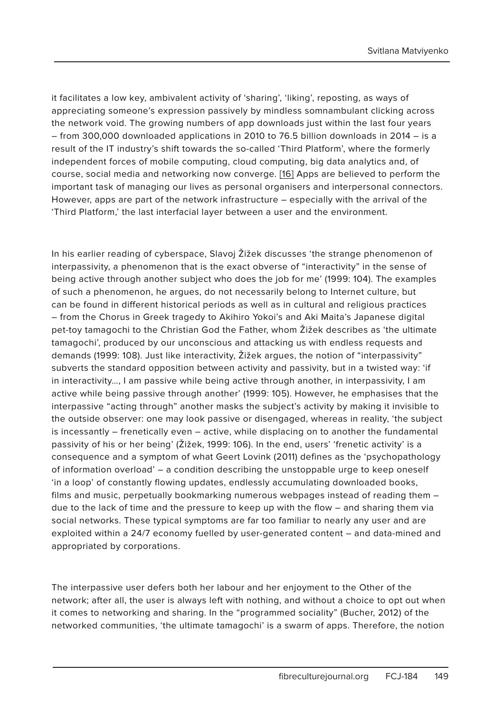it facilitates a low key, ambivalent activity of 'sharing', 'liking', reposting, as ways of appreciating someone's expression passively by mindless somnambulant clicking across the network void. The growing numbers of app downloads just within the last four years – from 300,000 downloaded applications in 2010 to 76.5 billion downloads in 2014 – is a result of the IT industry's shift towards the so-called 'Third Platform', where the formerly independent forces of mobile computing, cloud computing, big data analytics and, of course, social media and networking now converge. [16] Apps are believed to perform the important task of managing our lives as personal organisers and interpersonal connectors. However, apps are part of the network infrastructure – especially with the arrival of the 'Third Platform,' the last interfacial layer between a user and the environment.

In his earlier reading of cyberspace, Slavoj Žižek discusses 'the strange phenomenon of interpassivity, a phenomenon that is the exact obverse of "interactivity" in the sense of being active through another subject who does the job for me' (1999: 104). The examples of such a phenomenon, he argues, do not necessarily belong to Internet culture, but can be found in different historical periods as well as in cultural and religious practices – from the Chorus in Greek tragedy to Akihiro Yokoi's and Aki Maita's Japanese digital pet-toy tamagochi to the Christian God the Father, whom Žižek describes as 'the ultimate tamagochi', produced by our unconscious and attacking us with endless requests and demands (1999: 108). Just like interactivity, Žižek argues, the notion of "interpassivity" subverts the standard opposition between activity and passivity, but in a twisted way: 'if in interactivity…, I am passive while being active through another, in interpassivity, I am active while being passive through another' (1999: 105). However, he emphasises that the interpassive "acting through" another masks the subject's activity by making it invisible to the outside observer: one may look passive or disengaged, whereas in reality, 'the subject is incessantly – frenetically even – active, while displacing on to another the fundamental passivity of his or her being' (Žižek, 1999: 106). In the end, users' 'frenetic activity' is a consequence and a symptom of what Geert Lovink (2011) defines as the 'psychopathology of information overload' – a condition describing the unstoppable urge to keep oneself 'in a loop' of constantly flowing updates, endlessly accumulating downloaded books, films and music, perpetually bookmarking numerous webpages instead of reading them – due to the lack of time and the pressure to keep up with the flow – and sharing them via social networks. These typical symptoms are far too familiar to nearly any user and are exploited within a 24/7 economy fuelled by user-generated content – and data-mined and appropriated by corporations.

The interpassive user defers both her labour and her enjoyment to the Other of the network; after all, the user is always left with nothing, and without a choice to opt out when it comes to networking and sharing. In the "programmed sociality" (Bucher, 2012) of the networked communities, 'the ultimate tamagochi' is a swarm of apps. Therefore, the notion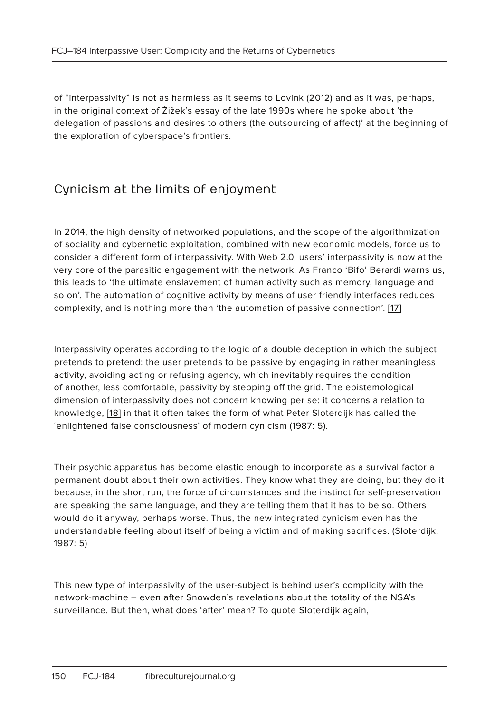of "interpassivity" is not as harmless as it seems to Lovink (2012) and as it was, perhaps, in the original context of Žižek's essay of the late 1990s where he spoke about 'the delegation of passions and desires to others (the outsourcing of affect)' at the beginning of the exploration of cyberspace's frontiers.

# Cynicism at the limits of enjoyment

In 2014, the high density of networked populations, and the scope of the algorithmization of sociality and cybernetic exploitation, combined with new economic models, force us to consider a different form of interpassivity. With Web 2.0, users' interpassivity is now at the very core of the parasitic engagement with the network. As Franco 'Bifo' Berardi warns us, this leads to 'the ultimate enslavement of human activity such as memory, language and so on'. The automation of cognitive activity by means of user friendly interfaces reduces complexity, and is nothing more than 'the automation of passive connection'. [17]

Interpassivity operates according to the logic of a double deception in which the subject pretends to pretend: the user pretends to be passive by engaging in rather meaningless activity, avoiding acting or refusing agency, which inevitably requires the condition of another, less comfortable, passivity by stepping off the grid. The epistemological dimension of interpassivity does not concern knowing per se: it concerns a relation to knowledge, [18] in that it often takes the form of what Peter Sloterdijk has called the 'enlightened false consciousness' of modern cynicism (1987: 5).

Their psychic apparatus has become elastic enough to incorporate as a survival factor a permanent doubt about their own activities. They know what they are doing, but they do it because, in the short run, the force of circumstances and the instinct for self-preservation are speaking the same language, and they are telling them that it has to be so. Others would do it anyway, perhaps worse. Thus, the new integrated cynicism even has the understandable feeling about itself of being a victim and of making sacrifices. (Sloterdijk, 1987: 5)

This new type of interpassivity of the user-subject is behind user's complicity with the network-machine – even after Snowden's revelations about the totality of the NSA's surveillance. But then, what does 'after' mean? To quote Sloterdijk again,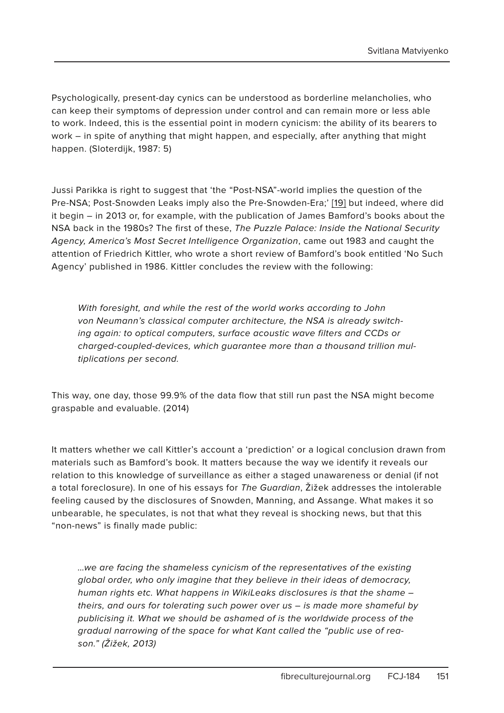Psychologically, present-day cynics can be understood as borderline melancholies, who can keep their symptoms of depression under control and can remain more or less able to work. Indeed, this is the essential point in modern cynicism: the ability of its bearers to work – in spite of anything that might happen, and especially, after anything that might happen. (Sloterdijk, 1987: 5)

Jussi Parikka is right to suggest that 'the "Post-NSA"-world implies the question of the Pre-NSA; Post-Snowden Leaks imply also the Pre-Snowden-Era;' [19] but indeed, where did it begin – in 2013 or, for example, with the publication of James Bamford's books about the NSA back in the 1980s? The first of these, The Puzzle Palace: Inside the National Security Agency, America's Most Secret Intelligence Organization, came out 1983 and caught the attention of Friedrich Kittler, who wrote a short review of Bamford's book entitled 'No Such Agency' published in 1986. Kittler concludes the review with the following:

With foresight, and while the rest of the world works according to John von Neumann's classical computer architecture, the NSA is already switching again: to optical computers, surface acoustic wave filters and CCDs or charged-coupled-devices, which guarantee more than a thousand trillion multiplications per second.

This way, one day, those 99.9% of the data flow that still run past the NSA might become graspable and evaluable. (2014)

It matters whether we call Kittler's account a 'prediction' or a logical conclusion drawn from materials such as Bamford's book. It matters because the way we identify it reveals our relation to this knowledge of surveillance as either a staged unawareness or denial (if not a total foreclosure). In one of his essays for The Guardian, Žižek addresses the intolerable feeling caused by the disclosures of Snowden, Manning, and Assange. What makes it so unbearable, he speculates, is not that what they reveal is shocking news, but that this "non-news" is finally made public:

…we are facing the shameless cynicism of the representatives of the existing global order, who only imagine that they believe in their ideas of democracy, human rights etc. What happens in WikiLeaks disclosures is that the shame – theirs, and ours for tolerating such power over us – is made more shameful by publicising it. What we should be ashamed of is the worldwide process of the gradual narrowing of the space for what Kant called the "public use of reason." (Žižek, 2013)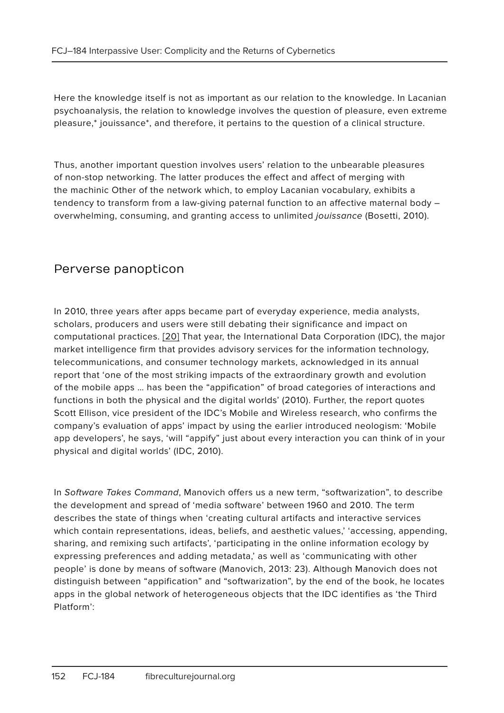Here the knowledge itself is not as important as our relation to the knowledge. In Lacanian psychoanalysis, the relation to knowledge involves the question of pleasure, even extreme pleasure,\* jouissance\*, and therefore, it pertains to the question of a clinical structure.

Thus, another important question involves users' relation to the unbearable pleasures of non-stop networking. The latter produces the effect and affect of merging with the machinic Other of the network which, to employ Lacanian vocabulary, exhibits a tendency to transform from a law-giving paternal function to an affective maternal body – overwhelming, consuming, and granting access to unlimited jouissance (Bosetti, 2010).

#### Perverse panopticon

In 2010, three years after apps became part of everyday experience, media analysts, scholars, producers and users were still debating their significance and impact on computational practices. [20] That year, the International Data Corporation (IDC), the major market intelligence firm that provides advisory services for the information technology, telecommunications, and consumer technology markets, acknowledged in its annual report that 'one of the most striking impacts of the extraordinary growth and evolution of the mobile apps … has been the "appification" of broad categories of interactions and functions in both the physical and the digital worlds' (2010). Further, the report quotes Scott Ellison, vice president of the IDC's Mobile and Wireless research, who confirms the company's evaluation of apps' impact by using the earlier introduced neologism: 'Mobile app developers', he says, 'will "appify" just about every interaction you can think of in your physical and digital worlds' (IDC, 2010).

In Software Takes Command, Manovich offers us a new term, "softwarization", to describe the development and spread of 'media software' between 1960 and 2010. The term describes the state of things when 'creating cultural artifacts and interactive services which contain representations, ideas, beliefs, and aesthetic values,' 'accessing, appending, sharing, and remixing such artifacts', 'participating in the online information ecology by expressing preferences and adding metadata,' as well as 'communicating with other people' is done by means of software (Manovich, 2013: 23). Although Manovich does not distinguish between "appification" and "softwarization", by the end of the book, he locates apps in the global network of heterogeneous objects that the IDC identifies as 'the Third Platform':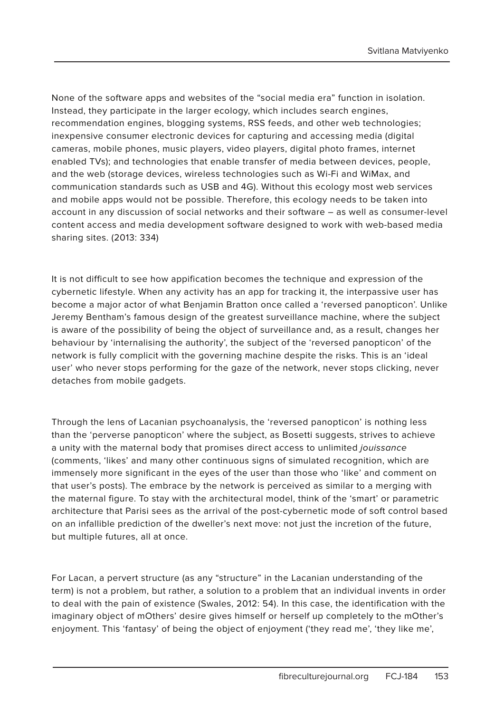None of the software apps and websites of the "social media era" function in isolation. Instead, they participate in the larger ecology, which includes search engines, recommendation engines, blogging systems, RSS feeds, and other web technologies; inexpensive consumer electronic devices for capturing and accessing media (digital cameras, mobile phones, music players, video players, digital photo frames, internet enabled TVs); and technologies that enable transfer of media between devices, people, and the web (storage devices, wireless technologies such as Wi-Fi and WiMax, and communication standards such as USB and 4G). Without this ecology most web services and mobile apps would not be possible. Therefore, this ecology needs to be taken into account in any discussion of social networks and their software – as well as consumer-level content access and media development software designed to work with web-based media sharing sites. (2013: 334)

It is not difficult to see how appification becomes the technique and expression of the cybernetic lifestyle. When any activity has an app for tracking it, the interpassive user has become a major actor of what Benjamin Bratton once called a 'reversed panopticon'. Unlike Jeremy Bentham's famous design of the greatest surveillance machine, where the subject is aware of the possibility of being the object of surveillance and, as a result, changes her behaviour by 'internalising the authority', the subject of the 'reversed panopticon' of the network is fully complicit with the governing machine despite the risks. This is an 'ideal user' who never stops performing for the gaze of the network, never stops clicking, never detaches from mobile gadgets.

Through the lens of Lacanian psychoanalysis, the 'reversed panopticon' is nothing less than the 'perverse panopticon' where the subject, as Bosetti suggests, strives to achieve a unity with the maternal body that promises direct access to unlimited jouissance (comments, 'likes' and many other continuous signs of simulated recognition, which are immensely more significant in the eyes of the user than those who 'like' and comment on that user's posts). The embrace by the network is perceived as similar to a merging with the maternal figure. To stay with the architectural model, think of the 'smart' or parametric architecture that Parisi sees as the arrival of the post-cybernetic mode of soft control based on an infallible prediction of the dweller's next move: not just the incretion of the future, but multiple futures, all at once.

For Lacan, a pervert structure (as any "structure" in the Lacanian understanding of the term) is not a problem, but rather, a solution to a problem that an individual invents in order to deal with the pain of existence (Swales, 2012: 54). In this case, the identification with the imaginary object of mOthers' desire gives himself or herself up completely to the mOther's enjoyment. This 'fantasy' of being the object of enjoyment ('they read me', 'they like me',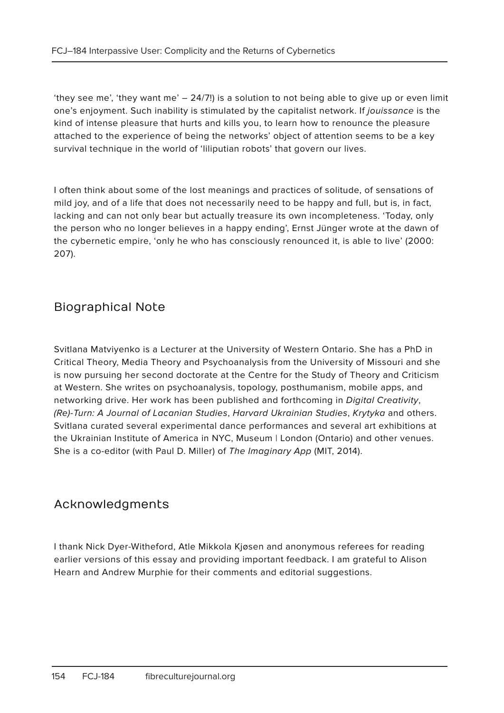'they see me', 'they want me' – 24/7!) is a solution to not being able to give up or even limit one's enjoyment. Such inability is stimulated by the capitalist network. If jouissance is the kind of intense pleasure that hurts and kills you, to learn how to renounce the pleasure attached to the experience of being the networks' object of attention seems to be a key survival technique in the world of 'liliputian robots' that govern our lives.

I often think about some of the lost meanings and practices of solitude, of sensations of mild joy, and of a life that does not necessarily need to be happy and full, but is, in fact, lacking and can not only bear but actually treasure its own incompleteness. 'Today, only the person who no longer believes in a happy ending', Ernst Jünger wrote at the dawn of the cybernetic empire, 'only he who has consciously renounced it, is able to live' (2000: 207).

#### Biographical Note

Svitlana Matviyenko is a Lecturer at the University of Western Ontario. She has a PhD in Critical Theory, Media Theory and Psychoanalysis from the University of Missouri and she is now pursuing her second doctorate at the Centre for the Study of Theory and Criticism at Western. She writes on psychoanalysis, topology, posthumanism, mobile apps, and networking drive. Her work has been published and forthcoming in Digital Creativity, (Re)-Turn: A Journal of Lacanian Studies, Harvard Ukrainian Studies, Krytyka and others. Svitlana curated several experimental dance performances and several art exhibitions at the Ukrainian Institute of America in NYC, Museum | London (Ontario) and other venues. She is a co-editor (with Paul D. Miller) of The Imaginary App (MIT, 2014).

#### Acknowledgments

I thank Nick Dyer-Witheford, Atle Mikkola Kjøsen and anonymous referees for reading earlier versions of this essay and providing important feedback. I am grateful to Alison Hearn and Andrew Murphie for their comments and editorial suggestions.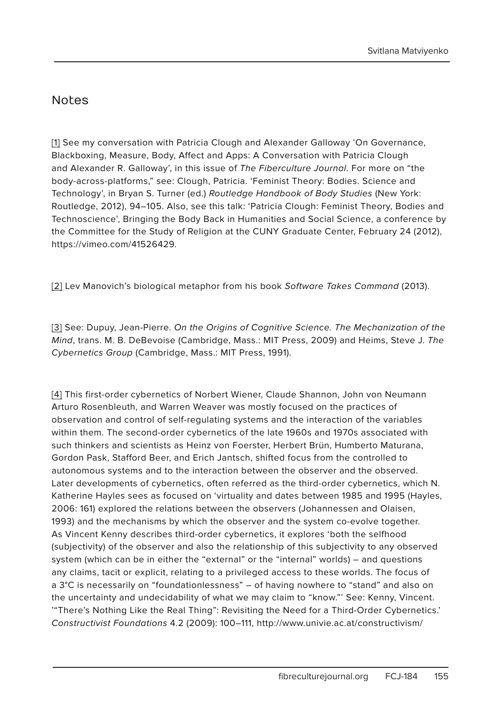#### Notes

[1] See my conversation with Patricia Clough and Alexander Galloway 'On Governance, Blackboxing, Measure, Body, Affect and Apps: A Conversation with Patricia Clough and Alexander R. Galloway', in this issue of The Fiberculture Journal. For more on "the body-across-platforms," see: Clough, Patricia. 'Feminist Theory: Bodies. Science and Technology', in Bryan S. Turner (ed.) Routledge Handbook of Body Studies (New York: Routledge, 2012), 94–105. Also, see this talk: 'Patricia Clough: Feminist Theory, Bodies and Technoscience', Bringing the Body Back in Humanities and Social Science, a conference by the Committee for the Study of Religion at the CUNY Graduate Center, February 24 (2012), https://vimeo.com/41526429.

[2] Lev Manovich's biological metaphor from his book Software Takes Command (2013).

[3] See: Dupuy, Jean-Pierre. On the Origins of Cognitive Science. The Mechanization of the Mind, trans. M. B. DeBevoise (Cambridge, Mass.: MIT Press, 2009) and Heims, Steve J. The Cybernetics Group (Cambridge, Mass.: MIT Press, 1991).

[4] This first-order cybernetics of Norbert Wiener, Claude Shannon, John von Neumann Arturo Rosenbleuth, and Warren Weaver was mostly focused on the practices of observation and control of self-regulating systems and the interaction of the variables within them. The second-order cybernetics of the late 1960s and 1970s associated with such thinkers and scientists as Heinz von Foerster, Herbert Brün, Humberto Maturana, Gordon Pask, Stafford Beer, and Erich Jantsch, shifted focus from the controlled to autonomous systems and to the interaction between the observer and the observed. Later developments of cybernetics, often referred as the third-order cybernetics, which N. Katherine Hayles sees as focused on 'virtuality and dates between 1985 and 1995 (Hayles, 2006: 161) explored the relations between the observers (Johannessen and Olaisen, 1993) and the mechanisms by which the observer and the system co-evolve together. As Vincent Kenny describes third-order cybernetics, it explores 'both the selfhood (subjectivity) of the observer and also the relationship of this subjectivity to any observed system (which can be in either the "external" or the "internal" worlds) – and questions any claims, tacit or explicit, relating to a privileged access to these worlds. The focus of a 3°C is necessarily on "foundationlessness" – of having nowhere to "stand" and also on the uncertainty and undecidability of what we may claim to "know."' See: Kenny, Vincent. '"There's Nothing Like the Real Thing": Revisiting the Need for a Third-Order Cybernetics.' Constructivist Foundations 4.2 (2009): 100–111, http://www.univie.ac.at/constructivism/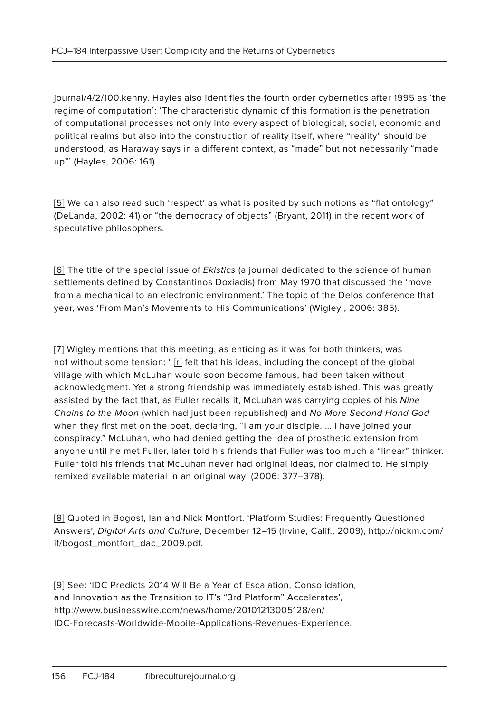journal/4/2/100.kenny. Hayles also identifies the fourth order cybernetics after 1995 as 'the regime of computation': 'The characteristic dynamic of this formation is the penetration of computational processes not only into every aspect of biological, social, economic and political realms but also into the construction of reality itself, where "reality" should be understood, as Haraway says in a different context, as "made" but not necessarily "made up"' (Hayles, 2006: 161).

[5] We can also read such 'respect' as what is posited by such notions as "flat ontology" (DeLanda, 2002: 41) or "the democracy of objects" (Bryant, 2011) in the recent work of speculative philosophers.

[6] The title of the special issue of *Ekistics* (a journal dedicated to the science of human settlements defined by Constantinos Doxiadis) from May 1970 that discussed the 'move from a mechanical to an electronic environment.' The topic of the Delos conference that year, was 'From Man's Movements to His Communications' (Wigley , 2006: 385).

[7] Wigley mentions that this meeting, as enticing as it was for both thinkers, was not without some tension: ' [r] felt that his ideas, including the concept of the global village with which McLuhan would soon become famous, had been taken without acknowledgment. Yet a strong friendship was immediately established. This was greatly assisted by the fact that, as Fuller recalls it, McLuhan was carrying copies of his Nine Chains to the Moon (which had just been republished) and No More Second Hand God when they first met on the boat, declaring, "I am your disciple. … I have joined your conspiracy." McLuhan, who had denied getting the idea of prosthetic extension from anyone until he met Fuller, later told his friends that Fuller was too much a "linear" thinker. Fuller told his friends that McLuhan never had original ideas, nor claimed to. He simply remixed available material in an original way' (2006: 377–378).

[8] Quoted in Bogost, Ian and Nick Montfort. 'Platform Studies: Frequently Questioned Answers', Digital Arts and Culture, December 12–15 (Irvine, Calif., 2009), http://nickm.com/ if/bogost\_montfort\_dac\_2009.pdf.

[9] See: 'IDC Predicts 2014 Will Be a Year of Escalation, Consolidation, and Innovation as the Transition to IT's "3rd Platform" Accelerates', http://www.businesswire.com/news/home/20101213005128/en/ IDC-Forecasts-Worldwide-Mobile-Applications-Revenues-Experience.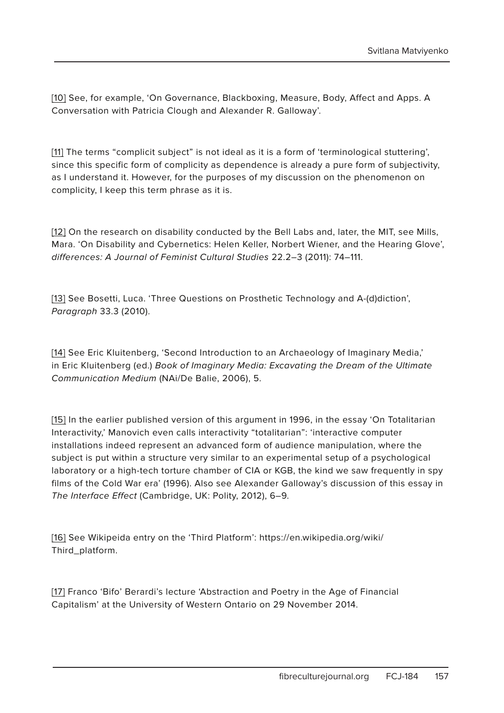[10] See, for example, 'On Governance, Blackboxing, Measure, Body, Affect and Apps. A Conversation with Patricia Clough and Alexander R. Galloway'.

[11] The terms "complicit subject" is not ideal as it is a form of 'terminological stuttering', since this specific form of complicity as dependence is already a pure form of subjectivity, as I understand it. However, for the purposes of my discussion on the phenomenon on complicity, I keep this term phrase as it is.

[12] On the research on disability conducted by the Bell Labs and, later, the MIT, see Mills, Mara. 'On Disability and Cybernetics: Helen Keller, Norbert Wiener, and the Hearing Glove', differences: A Journal of Feminist Cultural Studies 22.2–3 (2011): 74–111.

[13] See Bosetti, Luca. 'Three Questions on Prosthetic Technology and A-(d)diction', Paragraph 33.3 (2010).

[14] See Eric Kluitenberg, 'Second Introduction to an Archaeology of Imaginary Media,' in Eric Kluitenberg (ed.) Book of Imaginary Media: Excavating the Dream of the Ultimate Communication Medium (NAi/De Balie, 2006), 5.

[15] In the earlier published version of this argument in 1996, in the essay 'On Totalitarian Interactivity,' Manovich even calls interactivity "totalitarian": 'interactive computer installations indeed represent an advanced form of audience manipulation, where the subject is put within a structure very similar to an experimental setup of a psychological laboratory or a high-tech torture chamber of CIA or KGB, the kind we saw frequently in spy films of the Cold War era' (1996). Also see Alexander Galloway's discussion of this essay in The Interface Effect (Cambridge, UK: Polity, 2012), 6–9.

[16] See Wikipeida entry on the 'Third Platform': https://en.wikipedia.org/wiki/ Third\_platform.

[17] Franco 'Bifo' Berardi's lecture 'Abstraction and Poetry in the Age of Financial Capitalism' at the University of Western Ontario on 29 November 2014.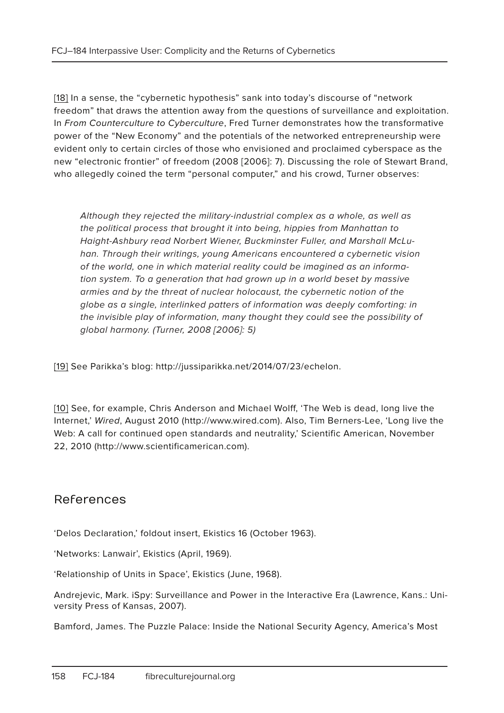[18] In a sense, the "cybernetic hypothesis" sank into today's discourse of "network freedom" that draws the attention away from the questions of surveillance and exploitation. In From Counterculture to Cyberculture, Fred Turner demonstrates how the transformative power of the "New Economy" and the potentials of the networked entrepreneurship were evident only to certain circles of those who envisioned and proclaimed cyberspace as the new "electronic frontier" of freedom (2008 [2006]: 7). Discussing the role of Stewart Brand, who allegedly coined the term "personal computer," and his crowd, Turner observes:

Although they rejected the military-industrial complex as a whole, as well as the political process that brought it into being, hippies from Manhattan to Haight-Ashbury read Norbert Wiener, Buckminster Fuller, and Marshall McLuhan. Through their writings, young Americans encountered a cybernetic vision of the world, one in which material reality could be imagined as an information system. To a generation that had grown up in a world beset by massive armies and by the threat of nuclear holocaust, the cybernetic notion of the globe as a single, interlinked patters of information was deeply comforting: in the invisible play of information, many thought they could see the possibility of global harmony. (Turner, 2008 [2006]: 5)

[19] See Parikka's blog: http://jussiparikka.net/2014/07/23/echelon.

[10] See, for example, Chris Anderson and Michael Wolff, 'The Web is dead, long live the Internet,' Wired, August 2010 (http://www.wired.com). Also, Tim Berners-Lee, 'Long live the Web: A call for continued open standards and neutrality,' Scientific American, November 22, 2010 (http://www.scientificamerican.com).

#### References

'Delos Declaration,' foldout insert, Ekistics 16 (October 1963).

'Networks: Lanwair', Ekistics (April, 1969).

'Relationship of Units in Space', Ekistics (June, 1968).

Andrejevic, Mark. iSpy: Surveillance and Power in the Interactive Era (Lawrence, Kans.: University Press of Kansas, 2007).

Bamford, James. The Puzzle Palace: Inside the National Security Agency, America's Most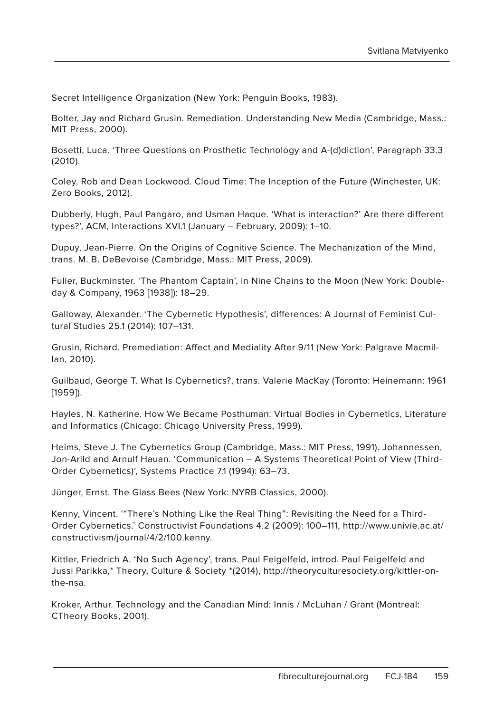Secret Intelligence Organization (New York: Penguin Books, 1983).

Bolter, Jay and Richard Grusin. Remediation. Understanding New Media (Cambridge, Mass.: MIT Press, 2000).

Bosetti, Luca. 'Three Questions on Prosthetic Technology and A-(d)diction', Paragraph 33.3 (2010).

Coley, Rob and Dean Lockwood. Cloud Time: The Inception of the Future (Winchester, UK: Zero Books, 2012).

Dubberly, Hugh, Paul Pangaro, and Usman Haque. 'What is interaction?' Are there different types?', ACM, Interactions XVI.1 (January – February, 2009): 1–10.

Dupuy, Jean-Pierre. On the Origins of Cognitive Science. The Mechanization of the Mind, trans. M. B. DeBevoise (Cambridge, Mass.: MIT Press, 2009).

Fuller, Buckminster. 'The Phantom Captain', in Nine Chains to the Moon (New York: Doubleday & Company, 1963 [1938]): 18–29.

Galloway, Alexander. 'The Cybernetic Hypothesis', differences: A Journal of Feminist Cultural Studies 25.1 (2014): 107–131.

Grusin, Richard. Premediation: Affect and Mediality After 9/11 (New York: Palgrave Macmillan, 2010).

Guilbaud, George T. What Is Cybernetics?, trans. Valerie MacKay (Toronto: Heinemann: 1961 [1959]).

Hayles, N. Katherine. How We Became Posthuman: Virtual Bodies in Cybernetics, Literature and Informatics (Chicago: Chicago University Press, 1999).

Heims, Steve J. The Cybernetics Group (Cambridge, Mass.: MIT Press, 1991). Johannessen, Jon-Arild and Arnulf Hauan. 'Communication – A Systems Theoretical Point of View (Third-Order Cybernetics)', Systems Practice 7.1 (1994): 63–73.

Jünger, Ernst. The Glass Bees (New York: NYRB Classics, 2000).

Kenny, Vincent. '"There's Nothing Like the Real Thing": Revisiting the Need for a Third-Order Cybernetics.' Constructivist Foundations 4.2 (2009): 100–111, http://www.univie.ac.at/ constructivism/journal/4/2/100.kenny.

Kittler, Friedrich A. 'No Such Agency', trans. Paul Feigelfeld, introd. Paul Feigelfeld and Jussi Parikka,\* Theory, Culture & Society \*(2014), http://theoryculturesociety.org/kittler-onthe-nsa.

Kroker, Arthur. Technology and the Canadian Mind: Innis / McLuhan / Grant (Montreal: CTheory Books, 2001).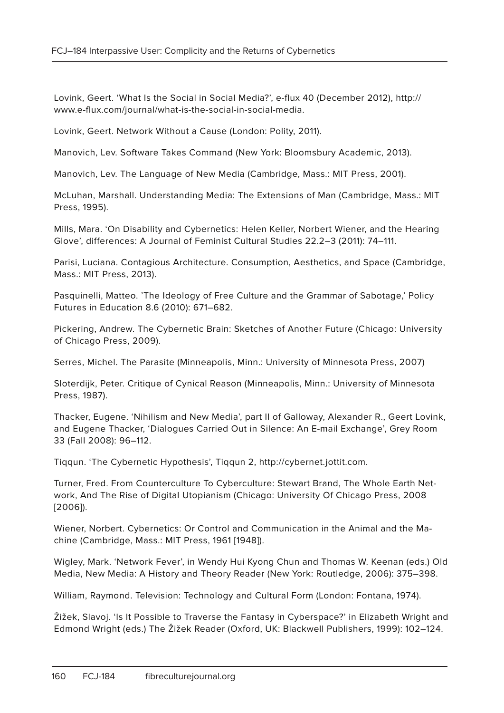Lovink, Geert. 'What Is the Social in Social Media?', e-flux 40 (December 2012), http:// www.e-flux.com/journal/what-is-the-social-in-social-media.

Lovink, Geert. Network Without a Cause (London: Polity, 2011).

Manovich, Lev. Software Takes Command (New York: Bloomsbury Academic, 2013).

Manovich, Lev. The Language of New Media (Cambridge, Mass.: MIT Press, 2001).

McLuhan, Marshall. Understanding Media: The Extensions of Man (Cambridge, Mass.: MIT Press, 1995).

Mills, Mara. 'On Disability and Cybernetics: Helen Keller, Norbert Wiener, and the Hearing Glove', differences: A Journal of Feminist Cultural Studies 22.2–3 (2011): 74–111.

Parisi, Luciana. Contagious Architecture. Consumption, Aesthetics, and Space (Cambridge, Mass.: MIT Press, 2013).

Pasquinelli, Matteo. 'The Ideology of Free Culture and the Grammar of Sabotage,' Policy Futures in Education 8.6 (2010): 671–682.

Pickering, Andrew. The Cybernetic Brain: Sketches of Another Future (Chicago: University of Chicago Press, 2009).

Serres, Michel. The Parasite (Minneapolis, Minn.: University of Minnesota Press, 2007)

Sloterdijk, Peter. Critique of Cynical Reason (Minneapolis, Minn.: University of Minnesota Press, 1987).

Thacker, Eugene. 'Nihilism and New Media', part II of Galloway, Alexander R., Geert Lovink, and Eugene Thacker, 'Dialogues Carried Out in Silence: An E-mail Exchange', Grey Room 33 (Fall 2008): 96–112.

Tiqqun. 'The Cybernetic Hypothesis', Tiqqun 2, http://cybernet.jottit.com.

Turner, Fred. From Counterculture To Cyberculture: Stewart Brand, The Whole Earth Network, And The Rise of Digital Utopianism (Chicago: University Of Chicago Press, 2008 [2006]).

Wiener, Norbert. Cybernetics: Or Control and Communication in the Animal and the Machine (Cambridge, Mass.: MIT Press, 1961 [1948]).

Wigley, Mark. 'Network Fever', in Wendy Hui Kyong Chun and Thomas W. Keenan (eds.) Old Media, New Media: A History and Theory Reader (New York: Routledge, 2006): 375–398.

William, Raymond. Television: Technology and Cultural Form (London: Fontana, 1974).

Žižek, Slavoj. 'Is It Possible to Traverse the Fantasy in Cyberspace?' in Elizabeth Wright and Edmond Wright (eds.) The Žižek Reader (Oxford, UK: Blackwell Publishers, 1999): 102–124.